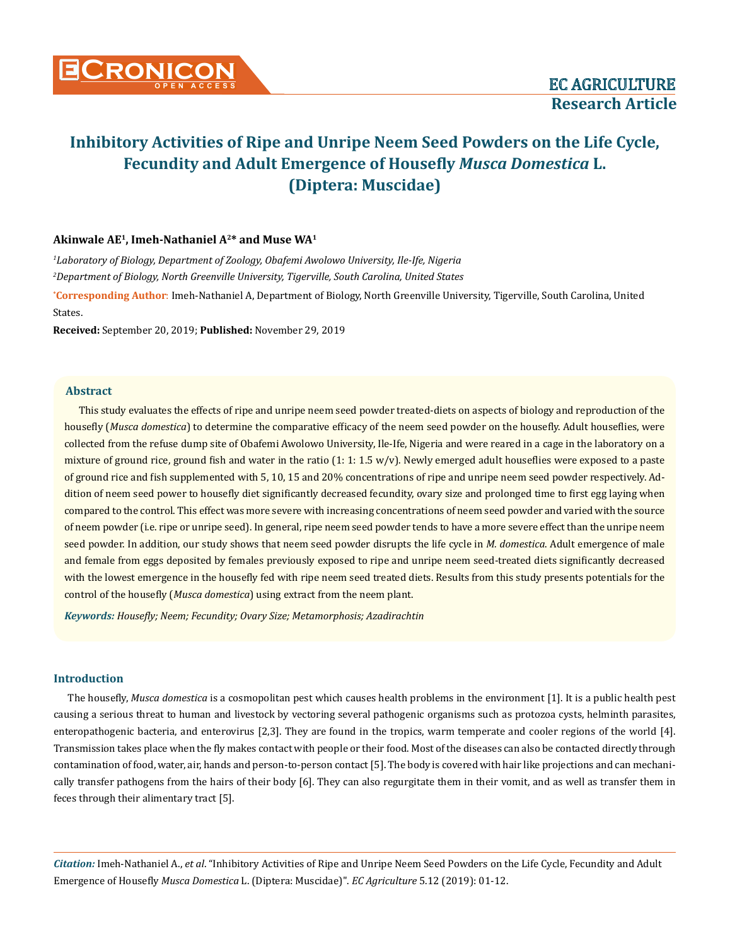

### **Akinwale AE1, Imeh-Nathaniel A2\* and Muse WA1**

*1 Laboratory of Biology, Department of Zoology, Obafemi Awolowo University, Ile-Ife, Nigeria 2 Department of Biology, North Greenville University, Tigerville, South Carolina, United States*

**\* Corresponding Author**: Imeh-Nathaniel A, Department of Biology, North Greenville University, Tigerville, South Carolina, United States.

**Received:** September 20, 2019; **Published:** November 29, 2019

#### **Abstract**

This study evaluates the effects of ripe and unripe neem seed powder treated-diets on aspects of biology and reproduction of the housefly (*Musca domestica*) to determine the comparative efficacy of the neem seed powder on the housefly. Adult houseflies, were collected from the refuse dump site of Obafemi Awolowo University, Ile-Ife, Nigeria and were reared in a cage in the laboratory on a mixture of ground rice, ground fish and water in the ratio  $(1: 1: 1.5 w/v)$ . Newly emerged adult houseflies were exposed to a paste of ground rice and fish supplemented with 5, 10, 15 and 20% concentrations of ripe and unripe neem seed powder respectively. Addition of neem seed power to housefly diet significantly decreased fecundity, ovary size and prolonged time to first egg laying when compared to the control. This effect was more severe with increasing concentrations of neem seed powder and varied with the source of neem powder (i.e. ripe or unripe seed). In general, ripe neem seed powder tends to have a more severe effect than the unripe neem seed powder. In addition, our study shows that neem seed powder disrupts the life cycle in *M. domestica*. Adult emergence of male and female from eggs deposited by females previously exposed to ripe and unripe neem seed-treated diets significantly decreased with the lowest emergence in the housefly fed with ripe neem seed treated diets. Results from this study presents potentials for the control of the housefly (*Musca domestica*) using extract from the neem plant.

*Keywords: Housefly; Neem; Fecundity; Ovary Size; Metamorphosis; Azadirachtin*

#### **Introduction**

The housefly, *Musca domestica* is a cosmopolitan pest which causes health problems in the environment [1]. It is a public health pest causing a serious threat to human and livestock by vectoring several pathogenic organisms such as protozoa cysts, helminth parasites, enteropathogenic bacteria, and enterovirus [2,3]. They are found in the tropics, warm temperate and cooler regions of the world [4]. Transmission takes place when the fly makes contact with people or their food. Most of the diseases can also be contacted directly through contamination of food, water, air, hands and person-to-person contact [5]. The body is covered with hair like projections and can mechanically transfer pathogens from the hairs of their body [6]. They can also regurgitate them in their vomit, and as well as transfer them in feces through their alimentary tract [5].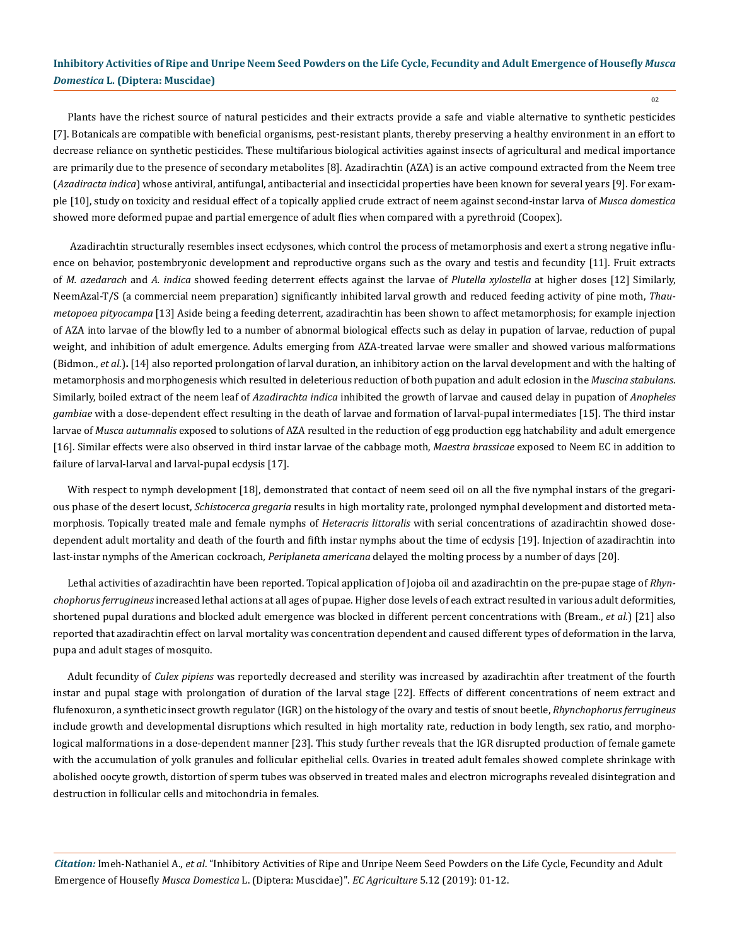Plants have the richest source of natural pesticides and their extracts provide a safe and viable alternative to synthetic pesticides [7]. Botanicals are compatible with beneficial organisms, pest-resistant plants, thereby preserving a healthy environment in an effort to decrease reliance on synthetic pesticides. These multifarious biological activities against insects of agricultural and medical importance are primarily due to the presence of secondary metabolites [8]. Azadirachtin (AZA) is an active compound extracted from the Neem tree (*Azadiracta indica*) whose antiviral, antifungal, antibacterial and insecticidal properties have been known for several years [9]. For example [10], study on toxicity and residual effect of a topically applied crude extract of neem against second-instar larva of *Musca domestica* showed more deformed pupae and partial emergence of adult flies when compared with a pyrethroid (Coopex).

Azadirachtin structurally resembles insect ecdysones, which control the process of metamorphosis and exert a strong negative influence on behavior, postembryonic development and reproductive organs such as the ovary and testis and fecundity [11]. Fruit extracts of *M. azedarach* and *A. indica* showed feeding deterrent effects against the larvae of *Plutella xylostella* at higher doses [12] Similarly, NeemAzal-T/S (a commercial neem preparation) significantly inhibited larval growth and reduced feeding activity of pine moth, *Thaumetopoea pityocampa* [13] Aside being a feeding deterrent, azadirachtin has been shown to affect metamorphosis; for example injection of AZA into larvae of the blowfly led to a number of abnormal biological effects such as delay in pupation of larvae, reduction of pupal weight, and inhibition of adult emergence. Adults emerging from AZA-treated larvae were smaller and showed various malformations (Bidmon., *et al*.)**.** [14] also reported prolongation of larval duration, an inhibitory action on the larval development and with the halting of metamorphosis and morphogenesis which resulted in deleterious reduction of both pupation and adult eclosion in the *Muscina stabulans*. Similarly, boiled extract of the neem leaf of *Azadirachta indica* inhibited the growth of larvae and caused delay in pupation of *Anopheles gambiae* with a dose-dependent effect resulting in the death of larvae and formation of larval-pupal intermediates [15]. The third instar larvae of *Musca autumnalis* exposed to solutions of AZA resulted in the reduction of egg production egg hatchability and adult emergence [16]. Similar effects were also observed in third instar larvae of the cabbage moth, *Maestra brassicae* exposed to Neem EC in addition to failure of larval-larval and larval-pupal ecdysis [17].

With respect to nymph development [18], demonstrated that contact of neem seed oil on all the five nymphal instars of the gregarious phase of the desert locust, *Schistocerca gregaria* results in high mortality rate, prolonged nymphal development and distorted metamorphosis. Topically treated male and female nymphs of *Heteracris littoralis* with serial concentrations of azadirachtin showed dosedependent adult mortality and death of the fourth and fifth instar nymphs about the time of ecdysis [19]. Injection of azadirachtin into last-instar nymphs of the American cockroach*, Periplaneta americana* delayed the molting process by a number of days [20].

Lethal activities of azadirachtin have been reported. Topical application of Jojoba oil and azadirachtin on the pre-pupae stage of *Rhynchophorus ferrugineus* increased lethal actions at all ages of pupae. Higher dose levels of each extract resulted in various adult deformities, shortened pupal durations and blocked adult emergence was blocked in different percent concentrations with (Bream., *et al*.) [21] also reported that azadirachtin effect on larval mortality was concentration dependent and caused different types of deformation in the larva, pupa and adult stages of mosquito.

Adult fecundity of *Culex pipiens* was reportedly decreased and sterility was increased by azadirachtin after treatment of the fourth instar and pupal stage with prolongation of duration of the larval stage [22]. Effects of different concentrations of neem extract and flufenoxuron, a synthetic insect growth regulator (IGR) on the histology of the ovary and testis of snout beetle, *Rhynchophorus ferrugineus*  include growth and developmental disruptions which resulted in high mortality rate, reduction in body length, sex ratio, and morphological malformations in a dose-dependent manner [23]. This study further reveals that the IGR disrupted production of female gamete with the accumulation of yolk granules and follicular epithelial cells. Ovaries in treated adult females showed complete shrinkage with abolished oocyte growth, distortion of sperm tubes was observed in treated males and electron micrographs revealed disintegration and destruction in follicular cells and mitochondria in females.

*Citation:* Imeh-Nathaniel A., *et al*. "Inhibitory Activities of Ripe and Unripe Neem Seed Powders on the Life Cycle, Fecundity and Adult Emergence of Housefly *Musca Domestica* L. (Diptera: Muscidae)". *EC Agriculture* 5.12 (2019): 01-12.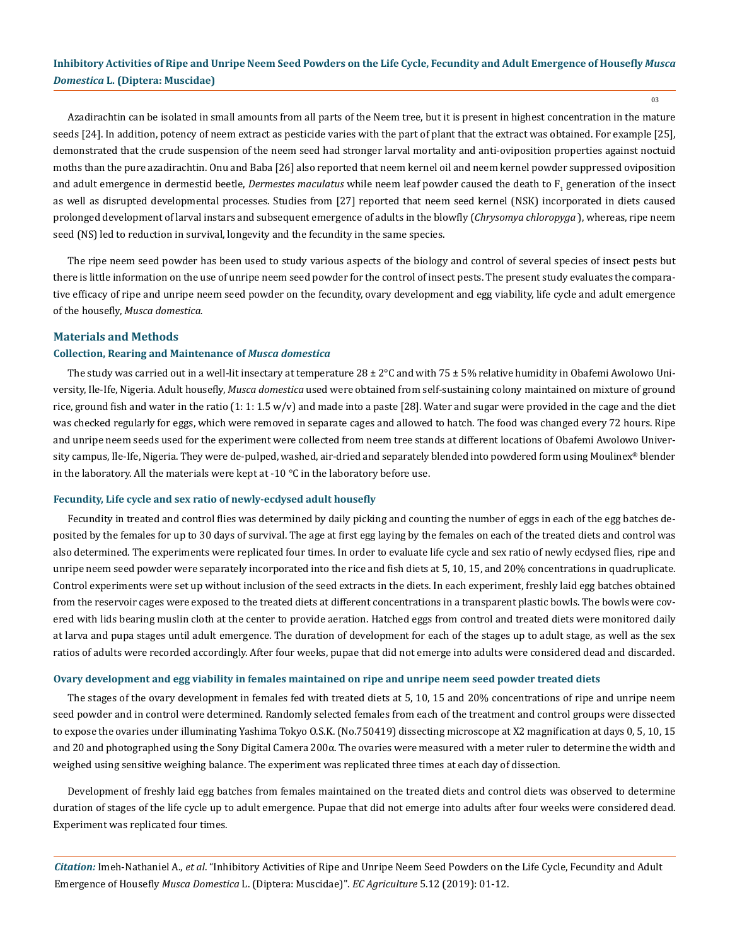03

Azadirachtin can be isolated in small amounts from all parts of the Neem tree, but it is present in highest concentration in the mature seeds [24]. In addition, potency of neem extract as pesticide varies with the part of plant that the extract was obtained. For example [25], demonstrated that the crude suspension of the neem seed had stronger larval mortality and anti-oviposition properties against noctuid moths than the pure azadirachtin. Onu and Baba [26] also reported that neem kernel oil and neem kernel powder suppressed oviposition and adult emergence in dermestid beetle, *Dermestes maculatus w*hile neem leaf powder caused the death to F<sub>1</sub> generation of the insect as well as disrupted developmental processes. Studies from [27] reported that neem seed kernel (NSK) incorporated in diets caused prolonged development of larval instars and subsequent emergence of adults in the blowfly (*Chrysomya chloropyga* ), whereas, ripe neem seed (NS) led to reduction in survival, longevity and the fecundity in the same species.

The ripe neem seed powder has been used to study various aspects of the biology and control of several species of insect pests but there is little information on the use of unripe neem seed powder for the control of insect pests. The present study evaluates the comparative efficacy of ripe and unripe neem seed powder on the fecundity, ovary development and egg viability, life cycle and adult emergence of the housefly, *Musca domestica.*

#### **Materials and Methods**

### **Collection, Rearing and Maintenance of** *Musca domestica*

The study was carried out in a well-lit insectary at temperature  $28 \pm 2^{\circ}$ C and with  $75 \pm 5$ % relative humidity in Obafemi Awolowo University, Ile-Ife, Nigeria. Adult housefly, *Musca domestica* used were obtained from self-sustaining colony maintained on mixture of ground rice, ground fish and water in the ratio  $(1: 1: 1.5 w/v)$  and made into a paste [28]. Water and sugar were provided in the cage and the diet was checked regularly for eggs, which were removed in separate cages and allowed to hatch. The food was changed every 72 hours. Ripe and unripe neem seeds used for the experiment were collected from neem tree stands at different locations of Obafemi Awolowo University campus, Ile-Ife, Nigeria. They were de-pulped, washed, air-dried and separately blended into powdered form using Moulinex® blender in the laboratory. All the materials were kept at -10  $^{\circ}$ C in the laboratory before use.

#### **Fecundity, Life cycle and sex ratio of newly-ecdysed adult housefly**

Fecundity in treated and control flies was determined by daily picking and counting the number of eggs in each of the egg batches deposited by the females for up to 30 days of survival. The age at first egg laying by the females on each of the treated diets and control was also determined. The experiments were replicated four times. In order to evaluate life cycle and sex ratio of newly ecdysed flies, ripe and unripe neem seed powder were separately incorporated into the rice and fish diets at 5, 10, 15, and 20% concentrations in quadruplicate. Control experiments were set up without inclusion of the seed extracts in the diets. In each experiment, freshly laid egg batches obtained from the reservoir cages were exposed to the treated diets at different concentrations in a transparent plastic bowls. The bowls were covered with lids bearing muslin cloth at the center to provide aeration. Hatched eggs from control and treated diets were monitored daily at larva and pupa stages until adult emergence. The duration of development for each of the stages up to adult stage, as well as the sex ratios of adults were recorded accordingly. After four weeks, pupae that did not emerge into adults were considered dead and discarded.

#### **Ovary development and egg viability in females maintained on ripe and unripe neem seed powder treated diets**

The stages of the ovary development in females fed with treated diets at 5, 10, 15 and 20% concentrations of ripe and unripe neem seed powder and in control were determined. Randomly selected females from each of the treatment and control groups were dissected to expose the ovaries under illuminating Yashima Tokyo O.S.K. (No.750419) dissecting microscope at X2 magnification at days 0, 5, 10, 15 and 20 and photographed using the Sony Digital Camera 200α. The ovaries were measured with a meter ruler to determine the width and weighed using sensitive weighing balance. The experiment was replicated three times at each day of dissection.

Development of freshly laid egg batches from females maintained on the treated diets and control diets was observed to determine duration of stages of the life cycle up to adult emergence. Pupae that did not emerge into adults after four weeks were considered dead. Experiment was replicated four times.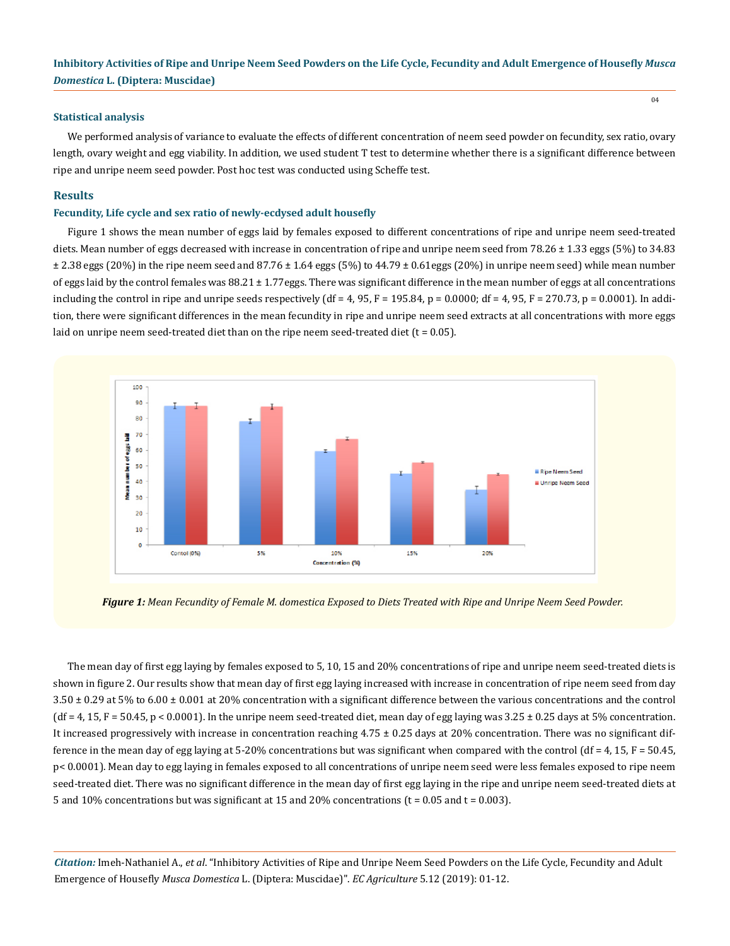#### **Statistical analysis**

We performed analysis of variance to evaluate the effects of different concentration of neem seed powder on fecundity, sex ratio, ovary length, ovary weight and egg viability. In addition, we used student T test to determine whether there is a significant difference between ripe and unripe neem seed powder. Post hoc test was conducted using Scheffe test.

#### **Results**

#### **Fecundity, Life cycle and sex ratio of newly-ecdysed adult housefly**

Figure 1 shows the mean number of eggs laid by females exposed to different concentrations of ripe and unripe neem seed-treated diets. Mean number of eggs decreased with increase in concentration of ripe and unripe neem seed from 78.26  $\pm$  1.33 eggs (5%) to 34.83 ± 2.38 eggs (20%) in the ripe neem seed and 87.76 ± 1.64 eggs (5%) to 44.79 ± 0.61eggs (20%) in unripe neem seed) while mean number of eggs laid by the control females was  $88.21 \pm 1.77$ eggs. There was significant difference in the mean number of eggs at all concentrations including the control in ripe and unripe seeds respectively (df = 4, 95, F = 195.84, p = 0.0000; df = 4, 95, F = 270.73, p = 0.0001). In addition, there were significant differences in the mean fecundity in ripe and unripe neem seed extracts at all concentrations with more eggs laid on unripe neem seed-treated diet than on the ripe neem seed-treated diet  $(t = 0.05)$ .



*Figure 1: Mean Fecundity of Female M. domestica Exposed to Diets Treated with Ripe and Unripe Neem Seed Powder.*

The mean day of first egg laying by females exposed to 5, 10, 15 and 20% concentrations of ripe and unripe neem seed-treated diets is shown in figure 2. Our results show that mean day of first egg laying increased with increase in concentration of ripe neem seed from day 3.50 ± 0.29 at 5% to 6.00 ± 0.001 at 20% concentration with a significant difference between the various concentrations and the control  $(df = 4, 15, F = 50.45, p < 0.0001)$ . In the unripe neem seed-treated diet, mean day of egg laying was  $3.25 \pm 0.25$  days at 5% concentration. It increased progressively with increase in concentration reaching 4.75 ± 0.25 days at 20% concentration. There was no significant difference in the mean day of egg laying at 5-20% concentrations but was significant when compared with the control  $(df = 4, 15, F = 50.45,$ p< 0.0001). Mean day to egg laying in females exposed to all concentrations of unripe neem seed were less females exposed to ripe neem seed-treated diet. There was no significant difference in the mean day of first egg laying in the ripe and unripe neem seed-treated diets at 5 and 10% concentrations but was significant at 15 and 20% concentrations ( $t = 0.05$  and  $t = 0.003$ ).

*Citation:* Imeh-Nathaniel A., *et al*. "Inhibitory Activities of Ripe and Unripe Neem Seed Powders on the Life Cycle, Fecundity and Adult Emergence of Housefly *Musca Domestica* L. (Diptera: Muscidae)". *EC Agriculture* 5.12 (2019): 01-12.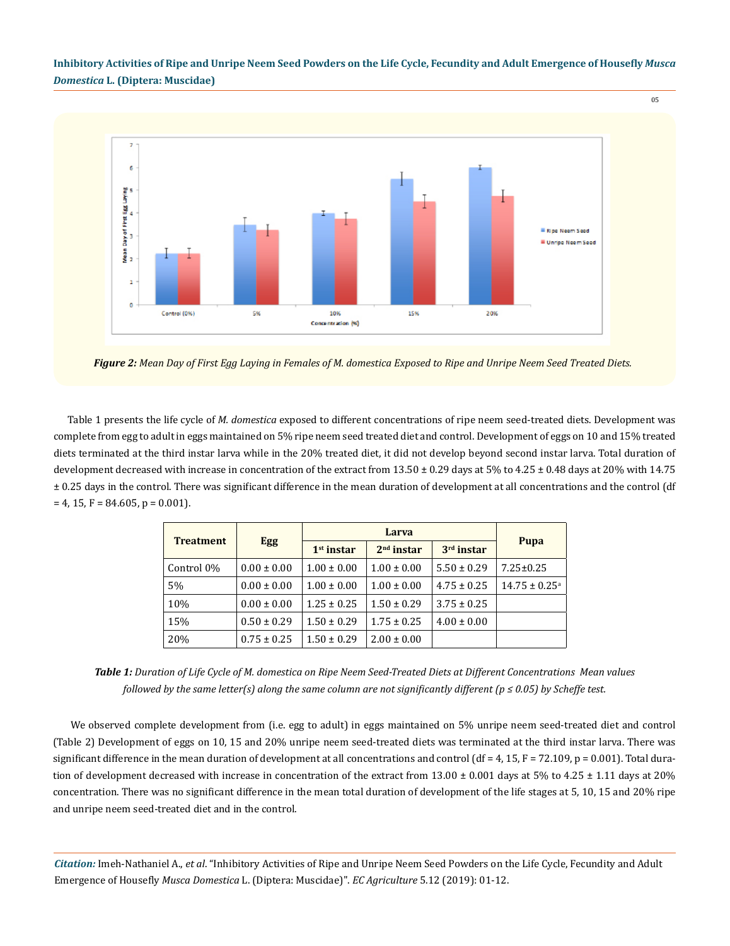

*Figure 2: Mean Day of First Egg Laying in Females of M. domestica Exposed to Ripe and Unripe Neem Seed Treated Diets.*

Table 1 presents the life cycle of *M. domestica* exposed to different concentrations of ripe neem seed-treated diets. Development was complete from egg to adult in eggs maintained on 5% ripe neem seed treated diet and control. Development of eggs on 10 and 15% treated diets terminated at the third instar larva while in the 20% treated diet, it did not develop beyond second instar larva. Total duration of development decreased with increase in concentration of the extract from  $13.50 \pm 0.29$  days at  $5\%$  to  $4.25 \pm 0.48$  days at  $20\%$  with  $14.75$ ± 0.25 days in the control. There was significant difference in the mean duration of development at all concentrations and the control (df  $= 4, 15, F = 84.605, p = 0.001$ .

| <b>Treatment</b> | <b>Egg</b>      | Larva           |                 |                 |                               |
|------------------|-----------------|-----------------|-----------------|-----------------|-------------------------------|
|                  |                 | $1st$ instar    | $2nd$ instar    | $3rd$ instar    | Pupa                          |
| Control 0%       | $0.00 \pm 0.00$ | $1.00 \pm 0.00$ | $1.00 \pm 0.00$ | $5.50 \pm 0.29$ | $7.25 \pm 0.25$               |
| 5%               | $0.00 \pm 0.00$ | $1.00 \pm 0.00$ | $1.00 \pm 0.00$ | $4.75 \pm 0.25$ | $14.75 \pm 0.25$ <sup>a</sup> |
| 10%              | $0.00 \pm 0.00$ | $1.25 \pm 0.25$ | $1.50 \pm 0.29$ | $3.75 \pm 0.25$ |                               |
| 15%              | $0.50 \pm 0.29$ | $1.50 \pm 0.29$ | $1.75 \pm 0.25$ | $4.00 \pm 0.00$ |                               |
| 20%              | $0.75 \pm 0.25$ | $1.50 \pm 0.29$ | $2.00 \pm 0.00$ |                 |                               |

*Table 1: Duration of Life Cycle of M. domestica on Ripe Neem Seed-Treated Diets at Different Concentrations Mean values followed by the same letter(s) along the same column are not significantly different (p ≤ 0.05) by Scheffe test.*

 We observed complete development from (i.e. egg to adult) in eggs maintained on 5% unripe neem seed-treated diet and control (Table 2) Development of eggs on 10, 15 and 20% unripe neem seed-treated diets was terminated at the third instar larva. There was significant difference in the mean duration of development at all concentrations and control (df =  $4$ , 15, F = 72.109, p = 0.001). Total duration of development decreased with increase in concentration of the extract from  $13.00 \pm 0.001$  days at 5% to 4.25  $\pm$  1.11 days at 20% concentration. There was no significant difference in the mean total duration of development of the life stages at 5, 10, 15 and 20% ripe and unripe neem seed-treated diet and in the control.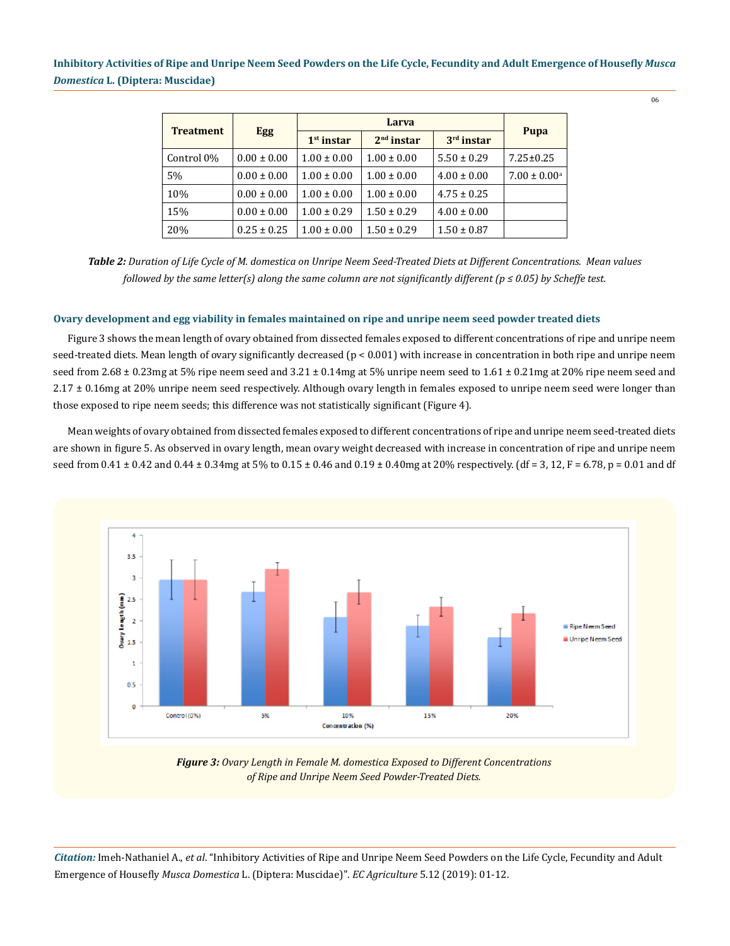| <b>Treatment</b> | <b>Egg</b>      | Larva           |                 |                 |                            |
|------------------|-----------------|-----------------|-----------------|-----------------|----------------------------|
|                  |                 | $1st$ instar    | $2nd$ instar    | $3rd$ instar    | Pupa                       |
| Control 0%       | $0.00 \pm 0.00$ | $1.00 \pm 0.00$ | $1.00 \pm 0.00$ | $5.50 \pm 0.29$ | $7.25 \pm 0.25$            |
| 5%               | $0.00 \pm 0.00$ | $1.00 \pm 0.00$ | $1.00 \pm 0.00$ | $4.00 \pm 0.00$ | $7.00 \pm 0.00^{\text{a}}$ |
| 10%              | $0.00 \pm 0.00$ | $1.00 \pm 0.00$ | $1.00 \pm 0.00$ | $4.75 \pm 0.25$ |                            |
| 15%              | $0.00 \pm 0.00$ | $1.00 \pm 0.29$ | $1.50 \pm 0.29$ | $4.00 \pm 0.00$ |                            |
| 20%              | $0.25 \pm 0.25$ | $1.00 \pm 0.00$ | $1.50 \pm 0.29$ | $1.50 \pm 0.87$ |                            |

*Table 2: Duration of Life Cycle of M. domestica on Unripe Neem Seed-Treated Diets at Different Concentrations. Mean values followed by the same letter(s) along the same column are not significantly different (p ≤ 0.05) by Scheffe test.*

## **Ovary development and egg viability in females maintained on ripe and unripe neem seed powder treated diets**

Figure 3 shows the mean length of ovary obtained from dissected females exposed to different concentrations of ripe and unripe neem seed-treated diets. Mean length of ovary significantly decreased (p < 0.001) with increase in concentration in both ripe and unripe neem seed from 2.68  $\pm$  0.23mg at 5% ripe neem seed and 3.21  $\pm$  0.14mg at 5% unripe neem seed to 1.61  $\pm$  0.21mg at 20% ripe neem seed and 2.17 ± 0.16mg at 20% unripe neem seed respectively. Although ovary length in females exposed to unripe neem seed were longer than those exposed to ripe neem seeds; this difference was not statistically significant (Figure 4).

Mean weights of ovary obtained from dissected females exposed to different concentrations of ripe and unripe neem seed-treated diets are shown in figure 5. As observed in ovary length, mean ovary weight decreased with increase in concentration of ripe and unripe neem seed from  $0.41 \pm 0.42$  and  $0.44 \pm 0.34$  mg at  $5\%$  to  $0.15 \pm 0.46$  and  $0.19 \pm 0.40$  mg at  $20\%$  respectively. (df = 3, 12, F = 6.78, p = 0.01 and df



*Figure 3: Ovary Length in Female M. domestica Exposed to Different Concentrations of Ripe and Unripe Neem Seed Powder-Treated Diets.*

*Citation:* Imeh-Nathaniel A., *et al*. "Inhibitory Activities of Ripe and Unripe Neem Seed Powders on the Life Cycle, Fecundity and Adult Emergence of Housefly *Musca Domestica* L. (Diptera: Muscidae)". *EC Agriculture* 5.12 (2019): 01-12.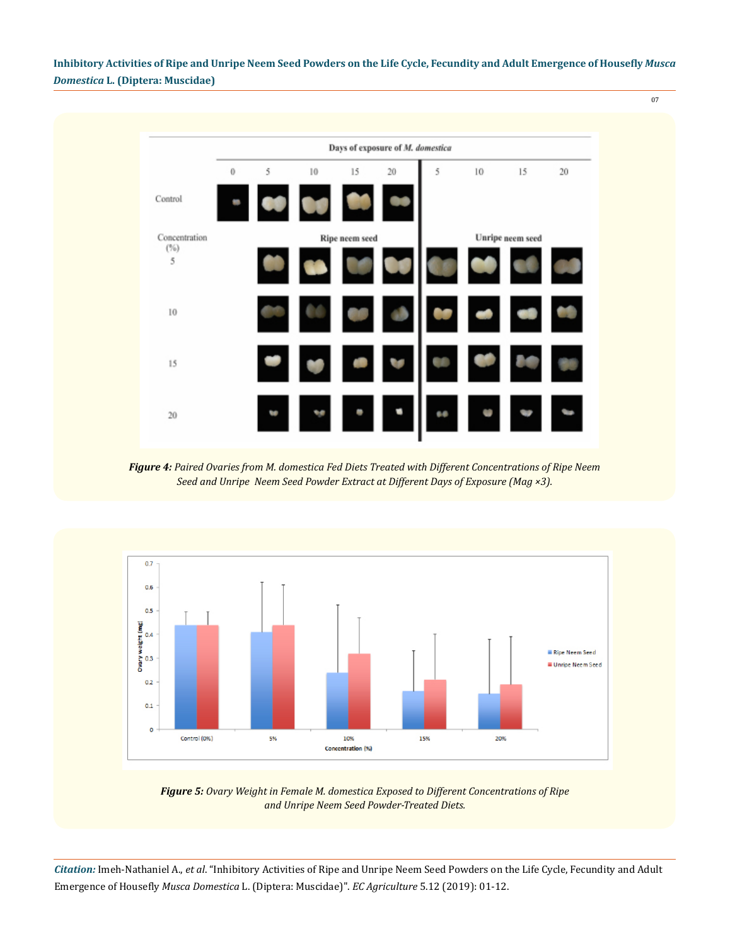

*Figure 4: Paired Ovaries from M. domestica Fed Diets Treated with Different Concentrations of Ripe Neem Seed and Unripe Neem Seed Powder Extract at Different Days of Exposure (Mag ×3).*



*Figure 5: Ovary Weight in Female M. domestica Exposed to Different Concentrations of Ripe and Unripe Neem Seed Powder-Treated Diets.*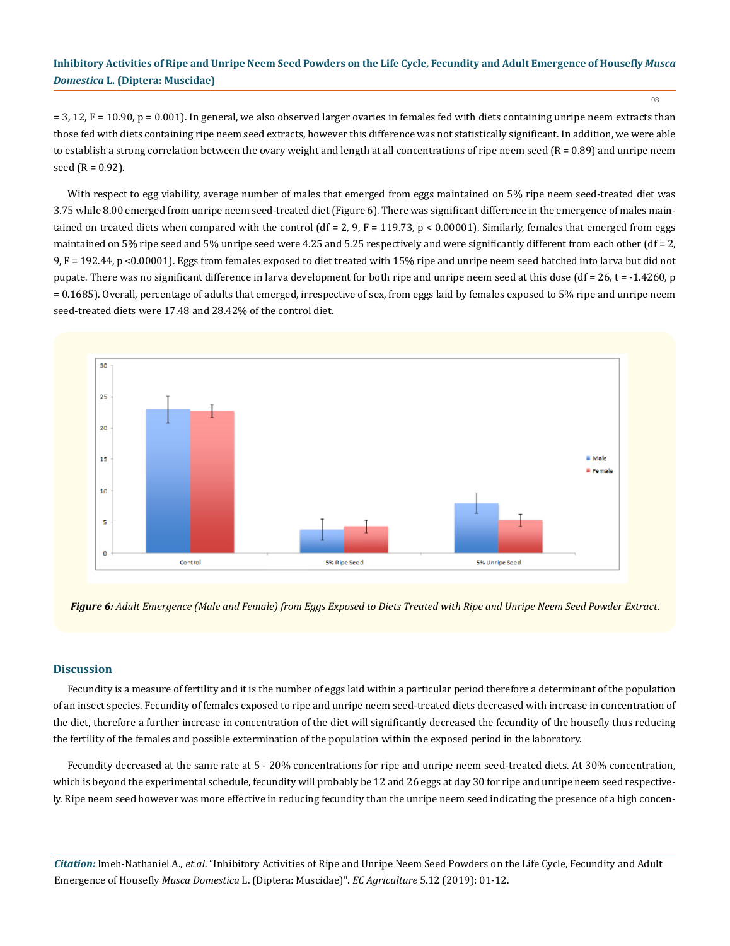08

 $= 3$ , 12, F = 10.90, p = 0.001). In general, we also observed larger ovaries in females fed with diets containing unripe neem extracts than those fed with diets containing ripe neem seed extracts, however this difference was not statistically significant. In addition, we were able to establish a strong correlation between the ovary weight and length at all concentrations of ripe neem seed  $(R = 0.89)$  and unripe neem seed  $(R = 0.92)$ .

With respect to egg viability, average number of males that emerged from eggs maintained on 5% ripe neem seed-treated diet was 3.75 while 8.00 emerged from unripe neem seed-treated diet (Figure 6). There was significant difference in the emergence of males maintained on treated diets when compared with the control  $(df = 2, 9, F = 119.73, p < 0.00001)$ . Similarly, females that emerged from eggs maintained on 5% ripe seed and 5% unripe seed were 4.25 and 5.25 respectively and were significantly different from each other (df = 2, 9, F = 192.44, p <0.00001). Eggs from females exposed to diet treated with 15% ripe and unripe neem seed hatched into larva but did not pupate. There was no significant difference in larva development for both ripe and unripe neem seed at this dose (df = 26, t = -1.4260, p = 0.1685). Overall, percentage of adults that emerged, irrespective of sex, from eggs laid by females exposed to 5% ripe and unripe neem seed-treated diets were 17.48 and 28.42% of the control diet.



*Figure 6: Adult Emergence (Male and Female) from Eggs Exposed to Diets Treated with Ripe and Unripe Neem Seed Powder Extract.* 

## **Discussion**

Fecundity is a measure of fertility and it is the number of eggs laid within a particular period therefore a determinant of the population of an insect species. Fecundity of females exposed to ripe and unripe neem seed-treated diets decreased with increase in concentration of the diet, therefore a further increase in concentration of the diet will significantly decreased the fecundity of the housefly thus reducing the fertility of the females and possible extermination of the population within the exposed period in the laboratory.

Fecundity decreased at the same rate at 5 - 20% concentrations for ripe and unripe neem seed-treated diets. At 30% concentration, which is beyond the experimental schedule, fecundity will probably be 12 and 26 eggs at day 30 for ripe and unripe neem seed respectively. Ripe neem seed however was more effective in reducing fecundity than the unripe neem seed indicating the presence of a high concen-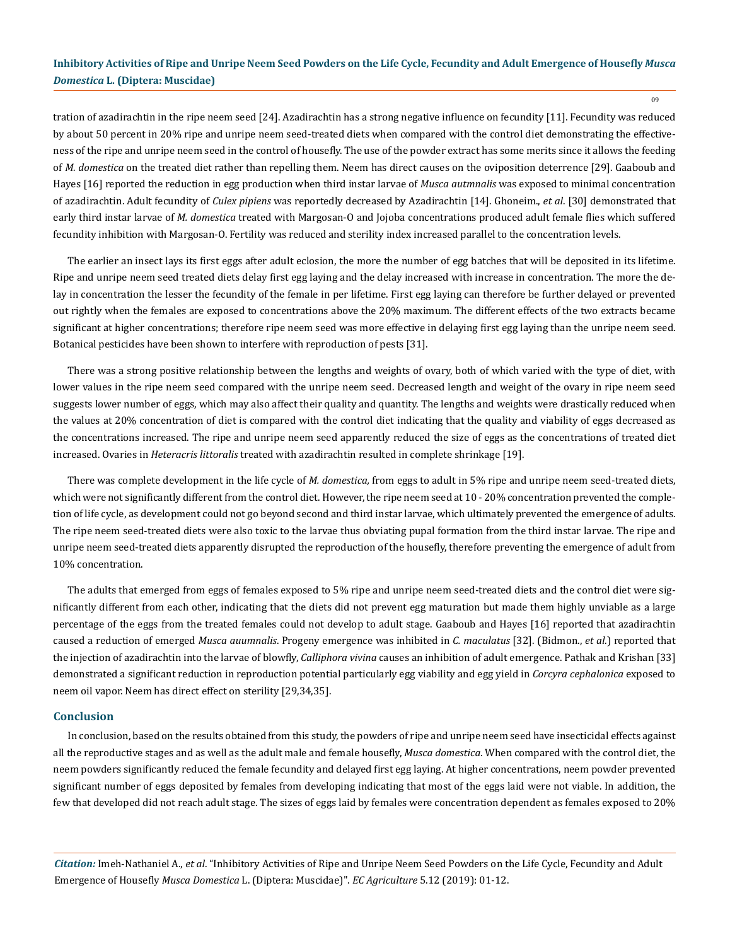09

tration of azadirachtin in the ripe neem seed [24]. Azadirachtin has a strong negative influence on fecundity [11]. Fecundity was reduced by about 50 percent in 20% ripe and unripe neem seed-treated diets when compared with the control diet demonstrating the effectiveness of the ripe and unripe neem seed in the control of housefly. The use of the powder extract has some merits since it allows the feeding of *M. domestica* on the treated diet rather than repelling them. Neem has direct causes on the oviposition deterrence [29]. Gaaboub and Hayes [16] reported the reduction in egg production when third instar larvae of *Musca autmnalis* was exposed to minimal concentration of azadirachtin. Adult fecundity of *Culex pipiens* was reportedly decreased by Azadirachtin [14]. Ghoneim., *et al*. [30] demonstrated that early third instar larvae of *M. domestica* treated with Margosan-O and Jojoba concentrations produced adult female flies which suffered fecundity inhibition with Margosan-O. Fertility was reduced and sterility index increased parallel to the concentration levels.

The earlier an insect lays its first eggs after adult eclosion, the more the number of egg batches that will be deposited in its lifetime. Ripe and unripe neem seed treated diets delay first egg laying and the delay increased with increase in concentration. The more the delay in concentration the lesser the fecundity of the female in per lifetime. First egg laying can therefore be further delayed or prevented out rightly when the females are exposed to concentrations above the 20% maximum. The different effects of the two extracts became significant at higher concentrations; therefore ripe neem seed was more effective in delaying first egg laying than the unripe neem seed. Botanical pesticides have been shown to interfere with reproduction of pests [31].

There was a strong positive relationship between the lengths and weights of ovary, both of which varied with the type of diet, with lower values in the ripe neem seed compared with the unripe neem seed. Decreased length and weight of the ovary in ripe neem seed suggests lower number of eggs, which may also affect their quality and quantity. The lengths and weights were drastically reduced when the values at 20% concentration of diet is compared with the control diet indicating that the quality and viability of eggs decreased as the concentrations increased. The ripe and unripe neem seed apparently reduced the size of eggs as the concentrations of treated diet increased. Ovaries in *Heteracris littoralis* treated with azadirachtin resulted in complete shrinkage [19].

There was complete development in the life cycle of *M. domestica,* from eggs to adult in 5% ripe and unripe neem seed-treated diets, which were not significantly different from the control diet. However, the ripe neem seed at 10 - 20% concentration prevented the completion of life cycle, as development could not go beyond second and third instar larvae, which ultimately prevented the emergence of adults. The ripe neem seed-treated diets were also toxic to the larvae thus obviating pupal formation from the third instar larvae. The ripe and unripe neem seed-treated diets apparently disrupted the reproduction of the housefly, therefore preventing the emergence of adult from 10% concentration.

The adults that emerged from eggs of females exposed to 5% ripe and unripe neem seed-treated diets and the control diet were significantly different from each other, indicating that the diets did not prevent egg maturation but made them highly unviable as a large percentage of the eggs from the treated females could not develop to adult stage. Gaaboub and Hayes [16] reported that azadirachtin caused a reduction of emerged *Musca auumnalis*. Progeny emergence was inhibited in *C. maculatus* [32]. (Bidmon., *et al.*) reported that the injection of azadirachtin into the larvae of blowfly, *Calliphora vivina* causes an inhibition of adult emergence. Pathak and Krishan [33] demonstrated a significant reduction in reproduction potential particularly egg viability and egg yield in *Corcyra cephalonica* exposed to neem oil vapor. Neem has direct effect on sterility [29,34,35].

## **Conclusion**

In conclusion, based on the results obtained from this study, the powders of ripe and unripe neem seed have insecticidal effects against all the reproductive stages and as well as the adult male and female housefly, *Musca domestica*. When compared with the control diet, the neem powders significantly reduced the female fecundity and delayed first egg laying. At higher concentrations, neem powder prevented significant number of eggs deposited by females from developing indicating that most of the eggs laid were not viable. In addition, the few that developed did not reach adult stage. The sizes of eggs laid by females were concentration dependent as females exposed to 20%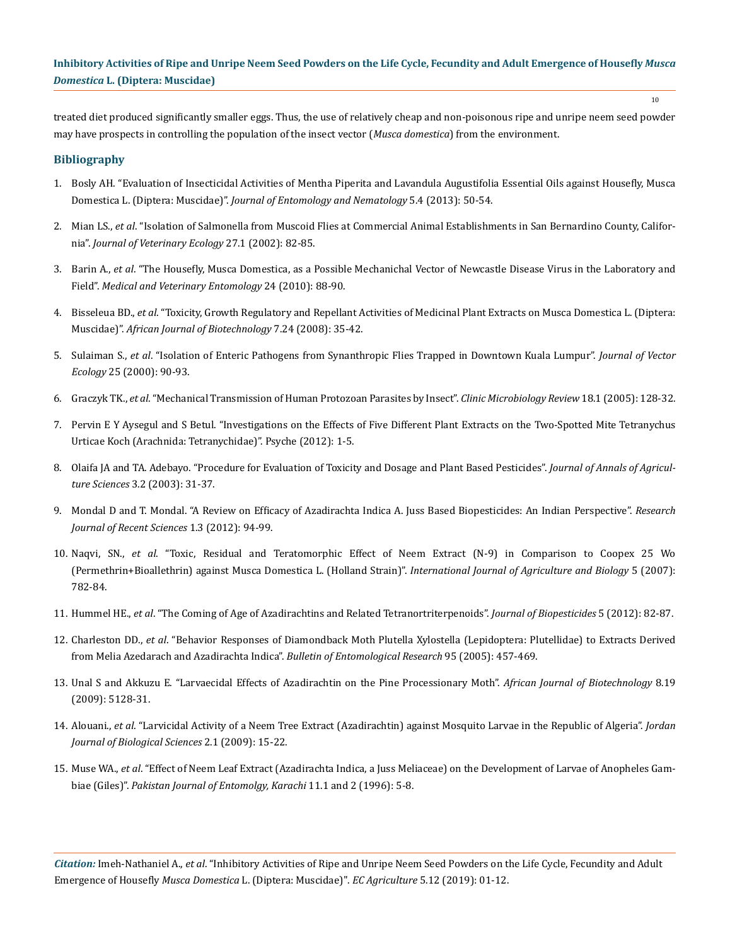treated diet produced significantly smaller eggs. Thus, the use of relatively cheap and non-poisonous ripe and unripe neem seed powder may have prospects in controlling the population of the insect vector (*Musca domestica*) from the environment.

### **Bibliography**

- 1. [Bosly AH. "Evaluation of Insecticidal Activities of Mentha Piperita and Lavandula Augustifolia Essential Oils against Housefly, Musca](https://www.researchgate.net/publication/272909913_Evaluation_of_insecticidal_activities_of_Mentha_piperita_and_Lavandula_angustifolia_essential_oils_against_house_fly_Musca_domestica_L_Diptera_Muscidae)  Domestica L. (Diptera: Muscidae)". *[Journal of Entomology and Nematology](https://www.researchgate.net/publication/272909913_Evaluation_of_insecticidal_activities_of_Mentha_piperita_and_Lavandula_angustifolia_essential_oils_against_house_fly_Musca_domestica_L_Diptera_Muscidae)* 5.4 (2013): 50-54.
- 2. Mian LS., *et al*. "Isolation of Salmonella from Muscoid Flies at Commercial Animal Establishments in San Bernardino County, California". *Journal of Veterinary Ecology* 27.1 (2002): 82-85.
- 3. Barin A., *et al*. "The Housefly, Musca Domestica, as a Possible Mechanichal Vector of Newcastle Disease Virus in the Laboratory and Field". *Medical and Veterinary Entomology* 24 (2010): 88-90.
- 4. Bisseleua BD., *et al*[. "Toxicity, Growth Regulatory and Repellant Activities of Medicinal Plant Extracts on Musca Domestica L. \(Diptera:](https://www.ajol.info/index.php/ajb/article/view/59650)  Muscidae)". *[African Journal of Biotechnology](https://www.ajol.info/index.php/ajb/article/view/59650)* 7.24 (2008): 35-42.
- 5. Sulaiman S., *et al*[. "Isolation of Enteric Pathogens from Synanthropic Flies Trapped in Downtown Kuala Lumpur".](https://www.ncbi.nlm.nih.gov/pubmed/10925800) *Journal of Vector Ecology* [25 \(2000\): 90-93.](https://www.ncbi.nlm.nih.gov/pubmed/10925800)
- 6. Graczyk TK., *et al*[. "Mechanical Transmission of Human Protozoan Parasites by Insect".](https://cmr.asm.org/content/18/1/128) *Clinic Microbiology Review* 18.1 (2005): 128-32.
- 7. Pervin E Y Aysegul and S Betul. "Investigations on the Effects of Five Different Plant Extracts on the Two-Spotted Mite Tetranychus Urticae Koch (Arachnida: Tetranychidae)". Psyche (2012): 1-5.
- 8. Olaifa JA and TA. Adebayo. "Procedure for Evaluation of Toxicity and Dosage and Plant Based Pesticides". *Journal of Annals of Agriculture Sciences* 3.2 (2003): 31-37.
- 9. [Mondal D and T. Mondal. "A Review on Efficacy of Azadirachta Indica A. Juss Based Biopesticides: An Indian Perspective".](https://www.researchgate.net/publication/233528571_A_Review_on_efficacy_of_Azadirachta_indica_A_Juss_based_biopesticides_An_Indian_perspective) *Research [Journal of Recent Sciences](https://www.researchgate.net/publication/233528571_A_Review_on_efficacy_of_Azadirachta_indica_A_Juss_based_biopesticides_An_Indian_perspective)* 1.3 (2012): 94-99.
- 10. Naqvi, SN., *et al*[. "Toxic, Residual and Teratomorphic Effect of Neem Extract \(N-9\) in Comparison to Coopex 25 Wo](http://citeseerx.ist.psu.edu/viewdoc/download?doi=10.1.1.515.761&rep=rep1&type=pdf) [\(Permethrin+Bioallethrin\) against Musca Domestica L. \(Holland Strain\)".](http://citeseerx.ist.psu.edu/viewdoc/download?doi=10.1.1.515.761&rep=rep1&type=pdf) *International Journal of Agriculture and Biology* 5 (2007): [782-84.](http://citeseerx.ist.psu.edu/viewdoc/download?doi=10.1.1.515.761&rep=rep1&type=pdf)
- 11. Hummel HE., *et al*[. "The Coming of Age of Azadirachtins and Related Tetranortriterpenoids".](http://www.jbiopest.com/users/LW8/efiles/Vol_5_0_82_87F.pdf) *Journal of Biopesticides* 5 (2012): 82-87.
- 12. Charleston DD., *et al*[. "Behavior Responses of Diamondback Moth Plutella Xylostella \(Lepidoptera: Plutellidae\) to Extracts Derived](https://www.cambridge.org/core/journals/bulletin-of-entomological-research/article/behavioural-responses-of-diamondback-moth-plutella-xylostella-lepidoptera-plutellidae-to-extracts-derived-from-melia-azedarach-and-azadirachta-indica/DC1F6D6C2CF6C204E48954773355790D) [from Melia Azedarach and Azadirachta Indica".](https://www.cambridge.org/core/journals/bulletin-of-entomological-research/article/behavioural-responses-of-diamondback-moth-plutella-xylostella-lepidoptera-plutellidae-to-extracts-derived-from-melia-azedarach-and-azadirachta-indica/DC1F6D6C2CF6C204E48954773355790D) *Bulletin of Entomological Research* 95 (2005): 457-469.
- 13. [Unal S and Akkuzu E. "Larvaecidal Effects of Azadirachtin on the Pine Processionary Moth".](https://www.researchgate.net/publication/242174554_Larvaecidal_effects_of_azadirachtin_on_the_pine_processionary_moth) *African Journal of Biotechnology* 8.19 [\(2009\): 5128-31.](https://www.researchgate.net/publication/242174554_Larvaecidal_effects_of_azadirachtin_on_the_pine_processionary_moth)
- 14. Alouani., *et al*[. "Larvicidal Activity of a Neem Tree Extract \(Azadirachtin\) against Mosquito Larvae in the Republic of Algeria".](https://www.researchgate.net/publication/228483562_Larvicidal_Activity_of_a_Neem_Tree_Extract_Azadirachtin_Against_Mosquito_Larvae_in_the_Republic_of_Algeria) *Jordan [Journal of Biological Sciences](https://www.researchgate.net/publication/228483562_Larvicidal_Activity_of_a_Neem_Tree_Extract_Azadirachtin_Against_Mosquito_Larvae_in_the_Republic_of_Algeria)* 2.1 (2009): 15-22.
- 15. Muse WA., *et al*. "Effect of Neem Leaf Extract (Azadirachta Indica, a Juss Meliaceae) on the Development of Larvae of Anopheles Gambiae (Giles)". *Pakistan Journal of Entomolgy, Karachi* 11.1 and 2 (1996): 5-8.

*Citation:* Imeh-Nathaniel A., *et al*. "Inhibitory Activities of Ripe and Unripe Neem Seed Powders on the Life Cycle, Fecundity and Adult Emergence of Housefly *Musca Domestica* L. (Diptera: Muscidae)". *EC Agriculture* 5.12 (2019): 01-12.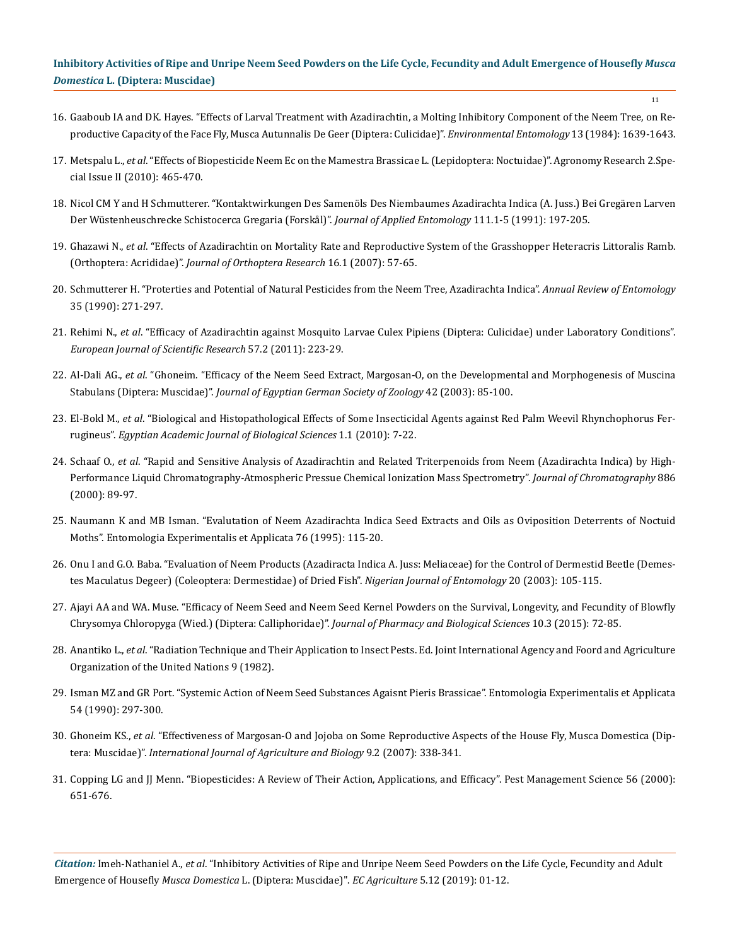11

- 16. Gaaboub IA and DK. Hayes. "Effects of Larval Treatment with Azadirachtin, a Molting Inhibitory Component of the Neem Tree, on Reproductive Capacity of the Face Fly, Musca Autunnalis De Geer (Diptera: Culicidae)". *Environmental Entomology* 13 (1984): 1639-1643.
- 17. Metspalu L., *et al*[. "Effects of Biopesticide Neem Ec on the Mamestra Brassicae L. \(Lepidoptera: Noctuidae\)". Agronomy Research 2.Spe](https://pdfs.semanticscholar.org/257e/5433370c6a22959a3b47726c22e6a04ffb5a.pdf)[cial Issue II \(2010\): 465-470.](https://pdfs.semanticscholar.org/257e/5433370c6a22959a3b47726c22e6a04ffb5a.pdf)
- 18. [Nicol CM Y and H Schmutterer. "Kontaktwirkungen Des Samenöls Des Niembaumes Azadirachta Indica \(A. Juss.\) Bei Gregären Larven](https://onlinelibrary.wiley.com/doi/abs/10.1111/j.1439-0418.1991.tb00311.x) [Der Wüstenheuschrecke Schistocerca Gregaria \(Forskål\)".](https://onlinelibrary.wiley.com/doi/abs/10.1111/j.1439-0418.1991.tb00311.x) *Journal of Applied Entomology* 111.1-5 (1991): 197-205.
- 19. Ghazawi N., *et al*[. "Effects of Azadirachtin on Mortality Rate and Reproductive System of the Grasshopper Heteracris Littoralis Ramb.](https://www.jstor.org/stable/20066565) (Orthoptera: Acrididae)". *[Journal of Orthoptera Research](https://www.jstor.org/stable/20066565)* 16.1 (2007): 57-65.
- 20. [Schmutterer H. "Proterties and Potential of Natural Pesticides from the Neem Tree, Azadirachta Indica".](https://www.annualreviews.org/doi/abs/10.1146/annurev.en.35.010190.001415) *Annual Review of Entomology* [35 \(1990\): 271-297.](https://www.annualreviews.org/doi/abs/10.1146/annurev.en.35.010190.001415)
- 21. Rehimi N., *et al*[. "Efficacy of Azadirachtin against Mosquito Larvae Culex Pipiens \(Diptera: Culicidae\) under Laboratory Conditions".](file:///D:\EC\26.%20ECAG-19-RA-225\f) *[European Journal of Scientific Research](file:///D:\EC\26.%20ECAG-19-RA-225\f)* 57.2 (2011): 223-29.
- 22. Al-Dali AG., *et al*. ["Ghoneim. "Efficacy of the Neem Seed Extract, Margosan-O, on the Developmental and Morphogenesis of Muscina](https://www.researchgate.net/publication/5263905_Efficacy_of_neem_extract_against_the_blowfly_and_housefly) Stabulans (Diptera: Muscidae)". *[Journal of Egyptian German Society of Zoology](https://www.researchgate.net/publication/5263905_Efficacy_of_neem_extract_against_the_blowfly_and_housefly)* 42 (2003): 85-100.
- 23. El-Bokl M., *et al*[. "Biological and Histopathological Effects of Some Insecticidal Agents against Red Palm Weevil Rhynchophorus Fer](https://www.researchgate.net/publication/233406542_Biological_and_histopathological_effects_of_some_insecticidal_agents_against_redpalm_weevil_Rhynchophorus_ferrugineus)rugineus". *[Egyptian Academic Journal of Biological Sciences](https://www.researchgate.net/publication/233406542_Biological_and_histopathological_effects_of_some_insecticidal_agents_against_redpalm_weevil_Rhynchophorus_ferrugineus)* 1.1 (2010): 7-22.
- 24. Schaaf O., *et al*[. "Rapid and Sensitive Analysis of Azadirachtin and Related Triterpenoids from Neem \(Azadirachta Indica\) by High-](https://www.ncbi.nlm.nih.gov/pubmed/10950279)[Performance Liquid Chromatography-Atmospheric Pressue Chemical Ionization Mass Spectrometry".](https://www.ncbi.nlm.nih.gov/pubmed/10950279) *Journal of Chromatography* 886 [\(2000\): 89-97.](https://www.ncbi.nlm.nih.gov/pubmed/10950279)
- 25. [Naumann K and MB Isman. "Evalutation of Neem Azadirachta Indica Seed Extracts and Oils as Oviposition Deterrents of Noctuid](https://onlinelibrary.wiley.com/doi/abs/10.1111/j.1570-7458.1995.tb01953.x) [Moths". Entomologia Experimentalis et Applicata 76 \(1995\): 115-20.](https://onlinelibrary.wiley.com/doi/abs/10.1111/j.1570-7458.1995.tb01953.x)
- 26. Onu I and G.O. Baba. "Evaluation of Neem Products (Azadiracta Indica A. Juss: Meliaceae) for the Control of Dermestid Beetle (Demestes Maculatus Degeer) (Coleoptera: Dermestidae) of Dried Fish". *Nigerian Journal of Entomology* 20 (2003): 105-115.
- 27. Ajayi AA and WA. [Muse. "Efficacy of Neem Seed and Neem Seed Kernel Powders on the Survival, Longevity, and Fecundity of Blowfly](https://www.researchgate.net/publication/334429982_Efficacy_of_Neem_Seed_and_Neem_Seed_Kernel_Powders_on_the_Survival_Longevity_and_Fecundity_of_Blowfly_Chrysomya_chloropyga_Wied_Diptera_Calliphoridae) [Chrysomya Chloropyga \(Wied.\) \(Diptera: Calliphoridae\)".](https://www.researchgate.net/publication/334429982_Efficacy_of_Neem_Seed_and_Neem_Seed_Kernel_Powders_on_the_Survival_Longevity_and_Fecundity_of_Blowfly_Chrysomya_chloropyga_Wied_Diptera_Calliphoridae) *Journal of Pharmacy and Biological Sciences* 10.3 (2015): 72-85.
- 28. Anantiko L., *et al*. "Radiation Technique and Their Application to Insect Pests. Ed. Joint International Agency and Foord and Agriculture Organization of the United Nations 9 (1982).
- 29. [Isman MZ and GR Port. "Systemic Action of Neem Seed Substances Agaisnt Pieris Brassicae". Entomologia Experimentalis et Applicata](https://onlinelibrary.wiley.com/doi/abs/10.1111/j.1570-7458.1990.tb01341.x) [54 \(1990\): 297-300.](https://onlinelibrary.wiley.com/doi/abs/10.1111/j.1570-7458.1990.tb01341.x)
- 30. Ghoneim KS., *et al*[. "Effectiveness of Margosan-O and Jojoba on Some Reproductive Aspects of the House Fly, Musca Domestica \(Dip](https://www.researchgate.net/publication/228475115_Effectiveness_of_margosan-O_and_jojoba_on_some_reproductive_aspects_of_the_house_fly_Musca_domestica_Diptera_Muscidae)tera: Muscidae)". *[International Journal of Agriculture and Biology](https://www.researchgate.net/publication/228475115_Effectiveness_of_margosan-O_and_jojoba_on_some_reproductive_aspects_of_the_house_fly_Musca_domestica_Diptera_Muscidae)* 9.2 (2007): 338-341.
- 31. [Copping LG and JJ Menn. "Biopesticides: A Review of Their Action, Applications, and Efficacy". Pest Management Science 56 \(2000\):](https://onlinelibrary.wiley.com/doi/abs/10.1002/1526-4998%28200008%2956%3A8%3C651%3A%3AAID-PS201%3E3.0.CO%3B2-U) [651-676.](https://onlinelibrary.wiley.com/doi/abs/10.1002/1526-4998%28200008%2956%3A8%3C651%3A%3AAID-PS201%3E3.0.CO%3B2-U)